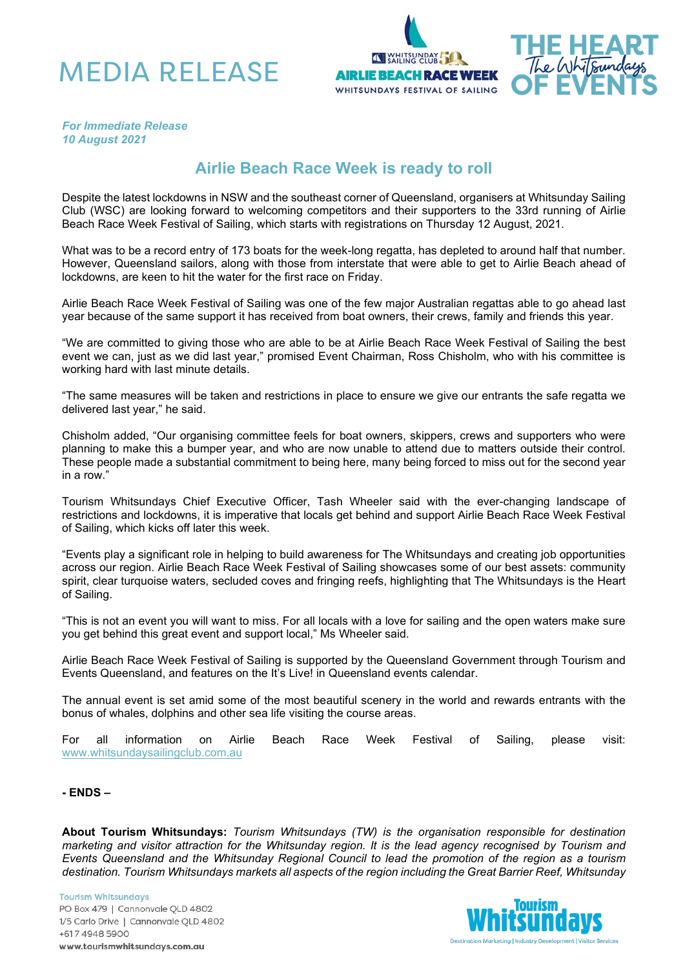





*For Immediate Release 10 August 2021*

## **Airlie Beach Race Week is ready to roll**

Despite the latest lockdowns in NSW and the southeast corner of Queensland, organisers at Whitsunday Sailing Club (WSC) are looking forward to welcoming competitors and their supporters to the 33rd running of Airlie Beach Race Week Festival of Sailing, which starts with registrations on Thursday 12 August, 2021.

What was to be a record entry of 173 boats for the week-long regatta, has depleted to around half that number. However, Queensland sailors, along with those from interstate that were able to get to Airlie Beach ahead of lockdowns, are keen to hit the water for the first race on Friday.

Airlie Beach Race Week Festival of Sailing was one of the few major Australian regattas able to go ahead last year because of the same support it has received from boat owners, their crews, family and friends this year.

"We are committed to giving those who are able to be at Airlie Beach Race Week Festival of Sailing the best event we can, just as we did last year," promised Event Chairman, Ross Chisholm, who with his committee is working hard with last minute details.

"The same measures will be taken and restrictions in place to ensure we give our entrants the safe regatta we delivered last year," he said.

Chisholm added, "Our organising committee feels for boat owners, skippers, crews and supporters who were planning to make this a bumper year, and who are now unable to attend due to matters outside their control. These people made a substantial commitment to being here, many being forced to miss out for the second year in a row."

Tourism Whitsundays Chief Executive Officer, Tash Wheeler said with the ever-changing landscape of restrictions and lockdowns, it is imperative that locals get behind and support Airlie Beach Race Week Festival of Sailing, which kicks off later this week.

"Events play a significant role in helping to build awareness for The Whitsundays and creating job opportunities across our region. Airlie Beach Race Week Festival of Sailing showcases some of our best assets: community spirit, clear turquoise waters, secluded coves and fringing reefs, highlighting that The Whitsundays is the Heart of Sailing.

"This is not an event you will want to miss. For all locals with a love for sailing and the open waters make sure you get behind this great event and support local," Ms Wheeler said.

Airlie Beach Race Week Festival of Sailing is supported by the Queensland Government through Tourism and Events Queensland, and features on the It's Live! in Queensland events calendar.

The annual event is set amid some of the most beautiful scenery in the world and rewards entrants with the bonus of whales, dolphins and other sea life visiting the course areas.

For all information on Airlie Beach Race Week Festival of Sailing, please visit: [www.whitsundaysailingclub.com.au](http://www.whitsundaysailingclub.com.au/)

**- ENDS –**

**About Tourism Whitsundays:** *Tourism Whitsundays (TW) is the organisation responsible for destination marketing and visitor attraction for the Whitsunday region. It is the lead agency recognised by Tourism and Events Queensland and the Whitsunday Regional Council to lead the promotion of the region as a tourism destination. Tourism Whitsundays markets all aspects of the region including the Great Barrier Reef, Whitsunday* 

**Tourism Whitsundays** PO Box 479 | Cannonvale QLD 4802 1/5 Carlo Drive | Cannonvale QLD 4802 +617 4948 5900 www.tourismwhitsundays.com.au